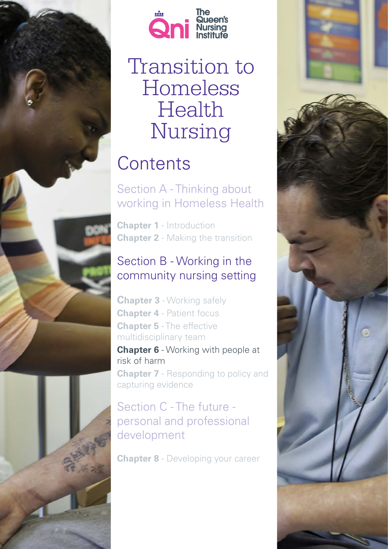

*1 Transition to Homeless Health Nursing -Chapter 6*



# Transition to Homeless Health Nursing

# **Contents**

Section A - Thinking about working in Homeless Health

**Chapter 1** - Introduction **Chapter 2** - Making the transition

# Section B - Working in the community nursing setting

**Chapter 3** - Working safely **Chapter 4** - Patient focus **Chapter 5** - The effective multidisciplinary team

**Chapter 6** - Working with people at risk of harm

**Chapter 7** - Responding to policy and capturing evidence

# Section C - The future personal and professional development

**Chapter 8** - Developing your career

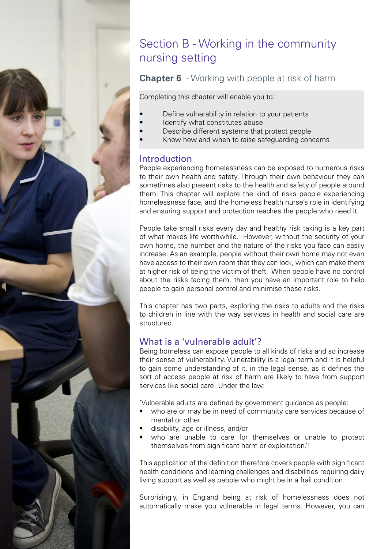# Section B - Working in the community nursing setting

# **Chapter 6** - Working with people at risk of harm

Completing this chapter will enable you to:

- Define vulnerability in relation to your patients
- Identify what constitutes abuse
- Describe different systems that protect people
- Know how and when to raise safeguarding concerns

# Introduction

People experiencing homelessness can be exposed to numerous risks to their own health and safety. Through their own behaviour they can sometimes also present risks to the health and safety of people around them. This chapter will explore the kind of risks people experiencing homelessness face, and the homeless health nurse's role in identifying and ensuring support and protection reaches the people who need it.

People take small risks every day and healthy risk taking is a key part of what makes life worthwhile. However, without the security of your own home, the number and the nature of the risks you face can easily increase. As an example, people without their own home may not even have access to their own room that they can lock, which can make them at higher risk of being the victim of theft. When people have no control about the risks facing them, then you have an important role to help people to gain personal control and minimise these risks.

This chapter has two parts, exploring the risks to adults and the risks to children in line with the way services in health and social care are structured.

# What is a 'vulnerable adult'?

Being homeless can expose people to all kinds of risks and so increase their sense of vulnerability. Vulnerability is a legal term and it is helpful to gain some understanding of it, in the legal sense, as it defines the sort of access people at risk of harm are likely to have from support services like social care. Under the law:

'Vulnerable adults are defined by government guidance as people:

- who are or may be in need of community care services because of mental or other
- disability, age or illness, and/or

*2 Transition to Homeless Health Nursing -Chapter 6*

who are unable to care for themselves or unable to protect themselves from significant harm or exploitation.'<sup>1</sup>

This application of the definition therefore covers people with significant health conditions and learning challenges and disabilities requiring daily living support as well as people who might be in a frail condition.

Surprisingly, in England being at risk of homelessness does not automatically make you vulnerable in legal terms. However, you can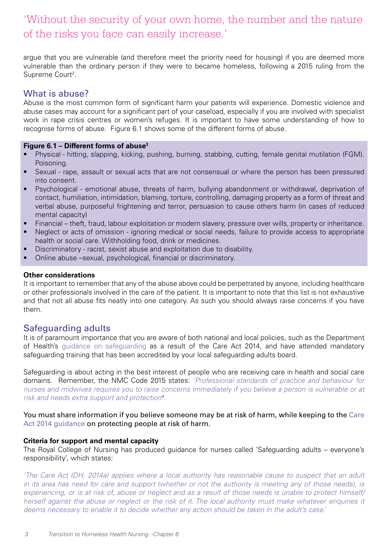# 'Without the security of your own home, the number and the nature of the risks you face can easily increase.'

argue that you are vulnerable (and therefore meet the priority need for housing) if you are deemed more vulnerable than the ordinary person if they were to became homeless, following a 2015 ruling from the Supreme Court<sup>2</sup>.

# What is abuse?

Abuse is the most common form of significant harm your patients will experience. Domestic violence and abuse cases may account for a significant part of your caseload, especially if you are involved with specialist work in rape crisis centres or women's refuges. It is important to have some understanding of how to recognise forms of abuse. Figure 6.1 shows some of the different forms of abuse.

### **Figure 6.1 – Different forms of abuse3**

- Physical hitting, slapping, kicking, pushing, burning, stabbing, cutting, female genital mutilation (FGM). Poisoning.
- Sexual rape, assault or sexual acts that are not consensual or where the person has been pressured into consent.
- Psychological emotional abuse, threats of harm, bullying abandonment or withdrawal, deprivation of contact, humiliation, intimidation, blaming, torture, controlling, damaging property as a form of threat and verbal abuse, purposeful frightening and terror, persuasion to cause others harm (in cases of reduced mental capacity)
- Financial theft, fraud, labour exploitation or modern slavery, pressure over wills, property or inheritance.
- Neglect or acts of omission ignoring medical or social needs, failure to provide access to appropriate health or social care. Withholding food, drink or medicines.
- Discriminatory racist, sexist abuse and exploitation due to disability.
- Online abuse –sexual, psychological, financial or discriminatory.

### **Other considerations**

It is important to remember that any of the abuse above could be perpetrated by anyone, including healthcare or other professionals involved in the care of the patient. It is important to note that this list is not exhaustive and that not all abuse fits neatly into one category. As such you should always raise concerns if you have them.

# Safeguarding adults

It is of paramount importance that you are aware of both national and local policies, such as the Department of Health's [guidance on safeguarding a](https://www.gov.uk/government/publications/care-act-statutory-guidance/care-and-support-statutory-guidance%23safeguarding-1)s a result of the Care Act 2014, and have attended mandatory safeguarding training that has been accredited by your local safeguarding adults board.

Safeguarding is about acting in the best interest of people who are receiving care in health and social care domains. Remember, the NMC Code 2015 states: *'Professional standards of practice and behaviour for nurses and midwives requires you to raise concerns immediately if you believe a person is vulnerable or at risk and needs extra support and protection4 .* 

You must share information if you believe someone may be at risk of harm, while keeping to the [Care](http://www.scie.org.uk/care-act-2014/safeguarding-adults/) [Act 2014 guidance](http://www.scie.org.uk/care-act-2014/safeguarding-adults/) on protecting people at risk of harm.

### **Criteria for support and mental capacity**

The Royal College of Nursing has produced guidance for nurses called 'Safeguarding adults – everyone's responsibility', which states:

*'The Care Act (DH, 2014a) applies where a local authority has reasonable cause to suspect that an adult in its area has need for care and support (whether or not the authority is meeting any of those needs), is experiencing, or is at risk of, abuse or neglect and as a result of those needs is unable to protect himself/ herself against the abuse or neglect or the risk of it. The local authority must make whatever enquiries it deems necessary to enable it to decide whether any action should be taken in the adult's case.'*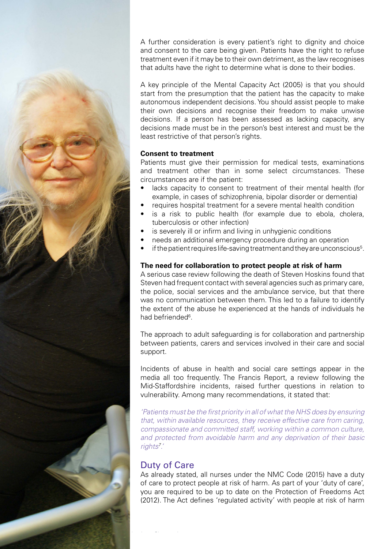![](_page_3_Picture_0.jpeg)

A further consideration is every patient's right to dignity and choice and consent to the care being given. Patients have the right to refuse treatment even if it may be to their own detriment, as the law recognises that adults have the right to determine what is done to their bodies.

A key principle of the Mental Capacity Act (2005) is that you should start from the presumption that the patient has the capacity to make autonomous independent decisions. You should assist people to make their own decisions and recognise their freedom to make unwise decisions. If a person has been assessed as lacking capacity, any decisions made must be in the person's best interest and must be the least restrictive of that person's rights.

### **Consent to treatment**

Patients must give their permission for medical tests, examinations and treatment other than in some select circumstances. These circumstances are if the patient:

- lacks capacity to consent to treatment of their mental health (for example, in cases of schizophrenia, bipolar disorder or dementia)
- requires hospital treatment for a severe mental health condition
- is a risk to public health (for example due to ebola, cholera, tuberculosis or other infection)
- is severely ill or infirm and living in unhygienic conditions
- needs an additional emergency procedure during an operation
- $\bullet$  if the patient requires life-saving treatment and they are unconscious<sup>5</sup>.

### **The need for collaboration to protect people at risk of harm**

A serious case review following the death of Steven Hoskins found that Steven had frequent contact with several agencies such as primary care, the police, social services and the ambulance service, but that there was no communication between them. This led to a failure to identify the extent of the abuse he experienced at the hands of individuals he had befriended<sup>6</sup>.

The approach to adult safeguarding is for collaboration and partnership between patients, carers and services involved in their care and social support.

Incidents of abuse in health and social care settings appear in the media all too frequently. The Francis Report, a review following the Mid-Staffordshire incidents, raised further questions in relation to vulnerability. Among many recommendations, it stated that:

*'Patients must be the first priority in all of what the NHS does by ensuring that, within available resources, they receive effective care from caring, compassionate and committed staff, working within a common culture, and protected from avoidable harm and any deprivation of their basic rights7 .'* 

# Duty of Care

As already stated, all nurses under the NMC Code (2015) have a duty of care to protect people at risk of harm. As part of your 'duty of care', you are required to be up to date on the Protection of Freedoms Act (2012). The Act defines 'regulated activity' with people at risk of harm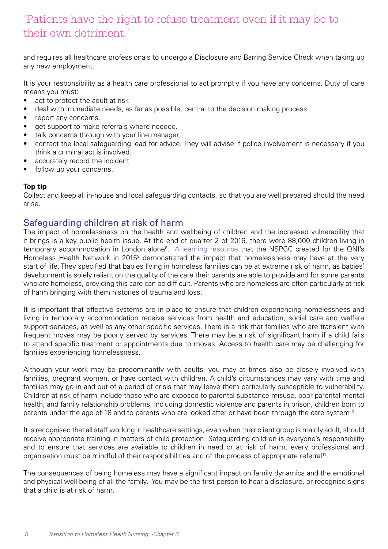# 'Patients have the right to refuse treatment even if it may be to their own detriment.'

and requires all healthcare professionals to undergo a Disclosure and Barring Service Check when taking up any new employment.

It is your responsibility as a health care professional to act promptly if you have any concerns. Duty of care means you must:

- act to protect the adult at risk
- deal with immediate needs, as far as possible, central to the decision making process
- report any concerns.
- get support to make referrals where needed.
- talk concerns through with your line manager.
- contact the local safeguarding lead for advice. They will advise if police involvement is necessary if you think a criminal act is involved.
- accurately record the incident
- follow up your concerns.

### **Top tip**

Collect and keep all in-house and local safeguarding contacts, so that you are well prepared should the need arise.

# Safeguarding children at risk of harm

The impact of homelessness on the health and wellbeing of children and the increased vulnerability that it brings is a key public health issue. At the end of quarter 2 of 2016, there were 88,000 children living in temporary accommodation in London alone<sup>8</sup>. [A learning resource](https://www.qni.org.uk/explore-qni/homeless-health-programme/homeless-health-guides-reports/) that the NSPCC created for the QNI's Homeless Health Network in 2015<sup>9</sup> demonstrated the impact that homelessness may have at the very start of life. They specified that babies living in homeless families can be at extreme risk of harm, as babies' development is solely reliant on the quality of the care their parents are able to provide and for some parents who are homeless, providing this care can be difficult. Parents who are homeless are often particularly at risk of harm bringing with them histories of trauma and loss.

It is important that effective systems are in place to ensure that children experiencing homelessness and living in temporary accommodation receive services from health and education, social care and welfare support services, as well as any other specific services. There is a risk that families who are transient with frequent moves may be poorly served by services. There may be a risk of significant harm if a child fails to attend specific treatment or appointments due to moves. Access to health care may be challenging for families experiencing homelessness.

Although your work may be predominantly with adults, you may at times also be closely involved with families, pregnant women, or have contact with children. A child's circumstances may vary with time and families may go in and out of a period of crisis that may leave them particularly susceptible to vulnerability. Children at risk of harm include those who are exposed to parental substance misuse, poor parental mental health, and family relationship problems, including domestic violence and parents in prison, children born to parents under the age of 18 and to parents who are looked after or have been through the care system<sup>10</sup>.

It is recognised that all staff working in healthcare settings, even when their client group is mainly adult, should receive appropriate training in matters of child protection. Safeguarding children is everyone's responsibility and to ensure that services are available to children in need or at risk of harm, every professional and organisation must be mindful of their responsibilities and of the process of appropriate referral11.

The consequences of being homeless may have a significant impact on family dynamics and the emotional and physical well-being of all the family. You may be the first person to hear a disclosure, or recognise signs that a child is at risk of harm.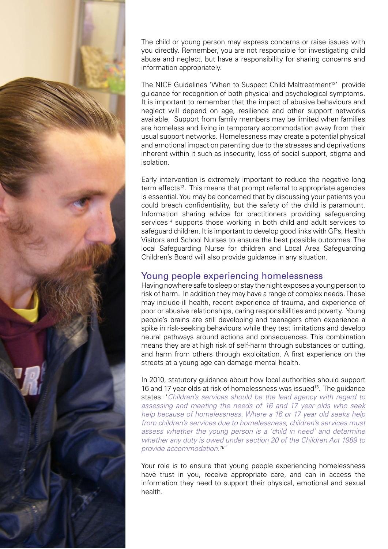![](_page_5_Picture_0.jpeg)

The child or young person may express concerns or raise issues with you directly. Remember, you are not responsible for investigating child abuse and neglect, but have a responsibility for sharing concerns and information appropriately.

The NICE Guidelines 'When to Suspect Child Maltreatment<sup>12'</sup> provide guidance for recognition of both physical and psychological symptoms. It is important to remember that the impact of abusive behaviours and neglect will depend on age, resilience and other support networks available. Support from family members may be limited when families are homeless and living in temporary accommodation away from their usual support networks. Homelessness may create a potential physical and emotional impact on parenting due to the stresses and deprivations inherent within it such as insecurity, loss of social support, stigma and isolation.

Early intervention is extremely important to reduce the negative long term effects<sup>13</sup>. This means that prompt referral to appropriate agencies is essential. You may be concerned that by discussing your patients you could breach confidentiality, but the safety of the child is paramount. Information sharing advice for practitioners providing safeguarding services<sup>14</sup> supports those working in both child and adult services to safeguard children. It is important to develop good links with GPs, Health Visitors and School Nurses to ensure the best possible outcomes. The local Safeguarding Nurse for children and Local Area Safeguarding Children's Board will also provide guidance in any situation.

## Young people experiencing homelessness

Having nowhere safe to sleep or stay the night exposes a young person to risk of harm. In addition they may have a range of complex needs. These may include ill health, recent experience of trauma, and experience of poor or abusive relationships, caring responsibilities and poverty. Young people's brains are still developing and teenagers often experience a spike in risk-seeking behaviours while they test limitations and develop neural pathways around actions and consequences. This combination means they are at high risk of self-harm through substances or cutting, and harm from others through exploitation. A first experience on the streets at a young age can damage mental health.

In 2010, statutory guidance about how local authorities should support 16 and 17 year olds at risk of homelessness was issued<sup>15</sup>. The guidance states: '*Children's services should be the lead agency with regard to assessing and meeting the needs of 16 and 17 year olds who seek help because of homelessness. Where a 16 or 17 year old seeks help from children's services due to homelessness, children's services must assess whether the young person is a 'child in need' and determine whether any duty is owed under section 20 of the Children Act 1989 to provide accommodation.16'* 

Your role is to ensure that young people experiencing homelessness have trust in you, receive appropriate care, and can in access the information they need to support their physical, emotional and sexual health.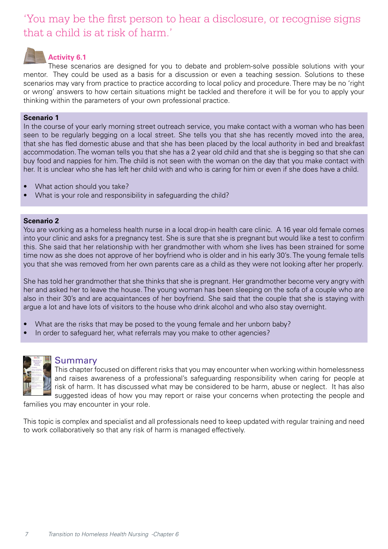# 'You may be the first person to hear a disclosure, or recognise signs that a child is at risk of harm.'

# **Activity 6.1**

These scenarios are designed for you to debate and problem-solve possible solutions with your mentor. They could be used as a basis for a discussion or even a teaching session. Solutions to these scenarios may vary from practice to practice according to local policy and procedure. There may be no 'right or wrong' answers to how certain situations might be tackled and therefore it will be for you to apply your thinking within the parameters of your own professional practice.

### **Scenario 1**

In the course of your early morning street outreach service, you make contact with a woman who has been seen to be regularly begging on a local street. She tells you that she has recently moved into the area, that she has fled domestic abuse and that she has been placed by the local authority in bed and breakfast accommodation. The woman tells you that she has a 2 year old child and that she is begging so that she can buy food and nappies for him. The child is not seen with the woman on the day that you make contact with her. It is unclear who she has left her child with and who is caring for him or even if she does have a child.

- What action should you take?
- What is your role and responsibility in safeguarding the child?

#### **Scenario 2**

You are working as a homeless health nurse in a local drop-in health care clinic. A 16 year old female comes into your clinic and asks for a pregnancy test. She is sure that she is pregnant but would like a test to confirm this. She said that her relationship with her grandmother with whom she lives has been strained for some time now as she does not approve of her boyfriend who is older and in his early 30's. The young female tells you that she was removed from her own parents care as a child as they were not looking after her properly.

She has told her grandmother that she thinks that she is pregnant. Her grandmother become very angry with her and asked her to leave the house. The young woman has been sleeping on the sofa of a couple who are also in their 30's and are acquaintances of her boyfriend. She said that the couple that she is staying with argue a lot and have lots of visitors to the house who drink alcohol and who also stay overnight.

- What are the risks that may be posed to the young female and her unborn baby?
- In order to safeguard her, what referrals may you make to other agencies?

![](_page_6_Picture_12.jpeg)

## Summary

This chapter focused on different risks that you may encounter when working within homelessness and raises awareness of a professional's safeguarding responsibility when caring for people at risk of harm. It has discussed what may be considered to be harm, abuse or neglect. It has also suggested ideas of how you may report or raise your concerns when protecting the people and

families you may encounter in your role.

This topic is complex and specialist and all professionals need to keep updated with regular training and need to work collaboratively so that any risk of harm is managed effectively.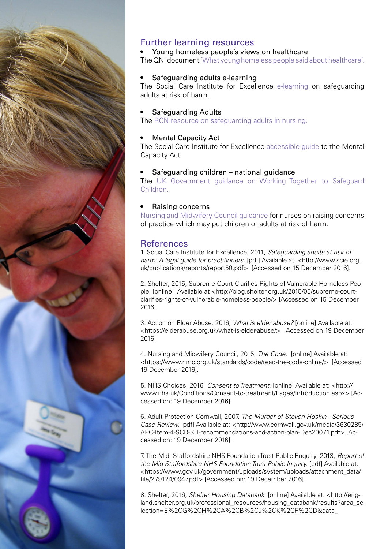![](_page_7_Picture_0.jpeg)

# Further learning resources

### Young homeless people's views on healthcare

The QNI document '[What young homeless people said about healthcare'.](https://www.qni.org.uk/explore-qni/homeless-health-programme/homeless-health-guides-reports/) 

### Safeguarding adults e-learning

The Social Care Institute for Excellence [e-learning](http://www.scie.org.uk/publications/elearning/adultsafeguarding/index.asp) on safeguarding adults at risk of harm.

### Safeguarding Adults

The [RCN resource on safeguarding adults in nursing.](https://www.rcn.org.uk/professional-development/publications/pub-004837) 

### **Mental Capacity Act**

The Social Care Institute for Excellence [accessible guide](http://www.scie.org.uk/mca/) to the Mental Capacity Act.

#### Safeguarding children - national guidance

The UK [Government](https://www.gov.uk/government/uploads/system/uploads/attachment_data/file/592101/Working_Together_to_Safeguard_Children_20170213.pdf) guidance on Working Together to Safeguard [Children.](https://www.gov.uk/government/uploads/system/uploads/attachment_data/file/592101/Working_Together_to_Safeguard_Children_20170213.pdf) 

#### Raising concerns

[Nursing and Midwifery Council guidance](https://www.nmc.org.uk/standards/guidance/raising-concerns-guidance-for-nurses-and-midwives/) for nurses on raising concerns of practice which may put children or adults at risk of harm.

### **References**

1. Social Care Institute for Excellence, 2011, *Safeguarding adults at risk of harm: A legal guide for practitioners.* [pdf] Available at <http://www.scie.org. uk/publications/reports/report50.pdf> [Accessed on 15 December 2016].

2. Shelter, 2015, Supreme Court Clarifies Rights of Vulnerable Homeless People. [online] Available at <http://blog.shelter.org.uk/2015/05/supreme-courtclarifies-rights-of-vulnerable-homeless-people/> [Accessed on 15 December 2016].

3. Action on Elder Abuse, 2016, *What is elder abuse?* [online] Available at: <https://elderabuse.org.uk/what-is-elder-abuse/> [Accessed on 19 December 2016].

4. Nursing and Midwifery Council, 2015, *The Code*. [online] Available at: <https://www.nmc.org.uk/standards/code/read-the-code-online/> [Accessed 19 December 2016].

5. NHS Choices, 2016, *Consent to Treatment.* [online] Available at: <http:// www.nhs.uk/Conditions/Consent-to-treatment/Pages/Introduction.aspx> [Accessed on: 19 December 2016].

6. Adult Protection Cornwall, 2007, *The Murder of Steven Hoskin - Serious Case Review.* [pdf] Available at: <http://www.cornwall.gov.uk/media/3630285/ APC-Item-4-SCR-SH-recommendations-and-action-plan-Dec20071.pdf> [Accessed on: 19 December 2016].

7. The Mid- Staffordshire NHS Foundation Trust Public Enquiry, 2013, *Report of the Mid Staffordshire NHS Foundation Trust Public Inquiry.* [pdf] Available at: <https://www.gov.uk/government/uploads/system/uploads/attachment\_data/ file/279124/0947.pdf> [Accessed on: 19 December 2016].

8. Shelter, 2016, *Shelter Housing Databank*. [online] Available at: <http://england.shelter.org.uk/professional\_resources/housing\_databank/results?area\_se lection=E%2CG%2CH%2CA%2CB%2CJ%2CK%2CF%2CD&data\_